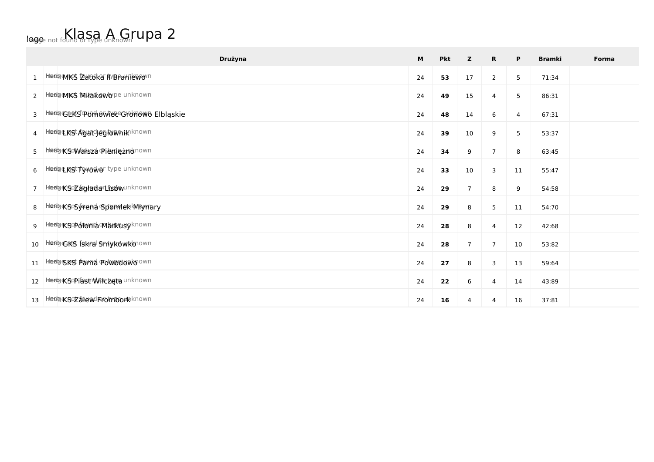## logo not found or type unknown TUPA 2

|                 | Drużyna                                | M  | <b>Pkt</b> | z                | $\mathbf R$    | P                | <b>Bramki</b> | Forma |
|-----------------|----------------------------------------|----|------------|------------------|----------------|------------------|---------------|-------|
| 1               | Hedge MKS Zatoka II Branie wown        | 24 | 53         | $17$             | $\overline{2}$ | 5                | 71:34         |       |
| $2^{\circ}$     | Heelgenks Milakowope unknown           | 24 | 49         | 15               | 4              | 5                | 86:31         |       |
| 3               | Heelp GLKS POM OWNER Gromowo Elbląskie | 24 | 48         | 14               | 6              | 4                | 67:31         |       |
| 4               | <b>hhedge KSt Agatd egfown ik</b> nown | 24 | 39         | 10               | 9              | 5                | 53:37         |       |
| 5 <sup>5</sup>  | Hedge Sowaldza Pieniężnown             | 24 | 34         | 9                | $\overline{7}$ | 8                | 63:45         |       |
| 6               | Hedge KSt Tyrowor type unknown         | 24 | 33         | $10\,$           | 3              | 11               | 55:47         |       |
| $7^{\circ}$     | heeby KSozagłada Lisówunknown          | 24 | 29         | $\boldsymbol{7}$ | 8              | $\boldsymbol{9}$ | 54:58         |       |
| 8               | Hedg&SGfrend Sponflek Mynary           | 24 | 29         | 8                | 5              | $11\,$           | 54:70         |       |
| 9               | Hedg«Sopotonia Markusyknown            | 24 | 28         | 8                | 4              | 12               | 42:68         |       |
| 10 <sup>°</sup> | Hiedgers fskra Smyrowkonown            | 24 | 28         | $\boldsymbol{7}$ | $\overline{7}$ | 10               | 53:82         |       |
|                 | 11 Hedgsks Parna Poweduwoown           | 24 | 27         | 8                | 3              | 13               | 59:64         |       |
|                 | 12 Heelpe Sopiast Wilczeta unknown     | 24 | 22         | 6                | 4              | 14               | 43:89         |       |
| 13              | Heelge Sozalew Fromborkknown           | 24 | 16         | 4                | 4              | 16               | 37:81         |       |